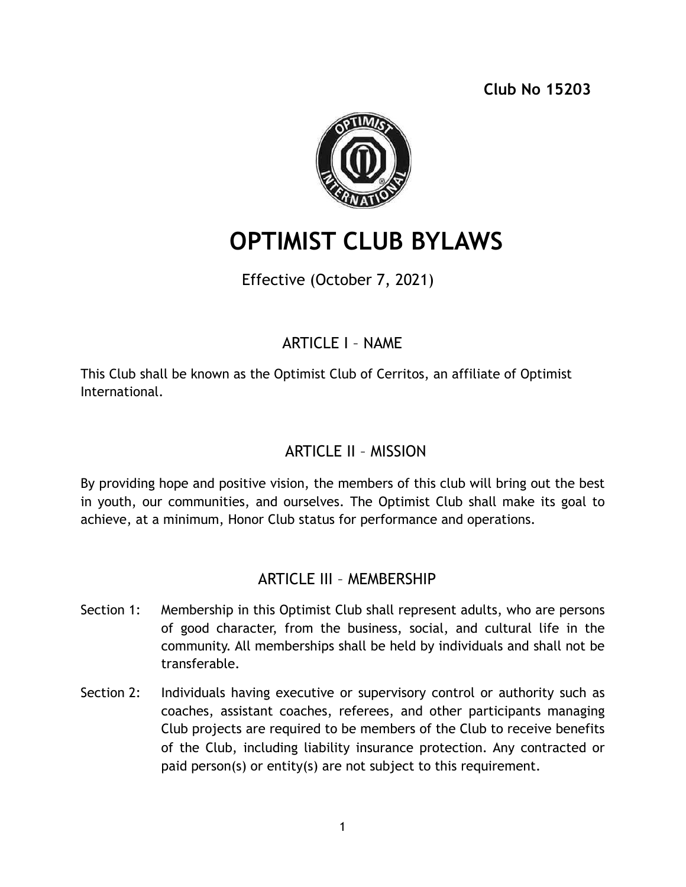**Club No 15203** 



# **OPTIMIST CLUB BYLAWS**

Effective (October 7, 2021)

# ARTICLE I – NAME

This Club shall be known as the Optimist Club of Cerritos, an affiliate of Optimist International.

# ARTICLE II – MISSION

By providing hope and positive vision, the members of this club will bring out the best in youth, our communities, and ourselves. The Optimist Club shall make its goal to achieve, at a minimum, Honor Club status for performance and operations.

## ARTICLE III – MEMBERSHIP

- Section 1: Membership in this Optimist Club shall represent adults, who are persons of good character, from the business, social, and cultural life in the community. All memberships shall be held by individuals and shall not be transferable.
- Section 2: Individuals having executive or supervisory control or authority such as coaches, assistant coaches, referees, and other participants managing Club projects are required to be members of the Club to receive benefits of the Club, including liability insurance protection. Any contracted or paid person(s) or entity(s) are not subject to this requirement.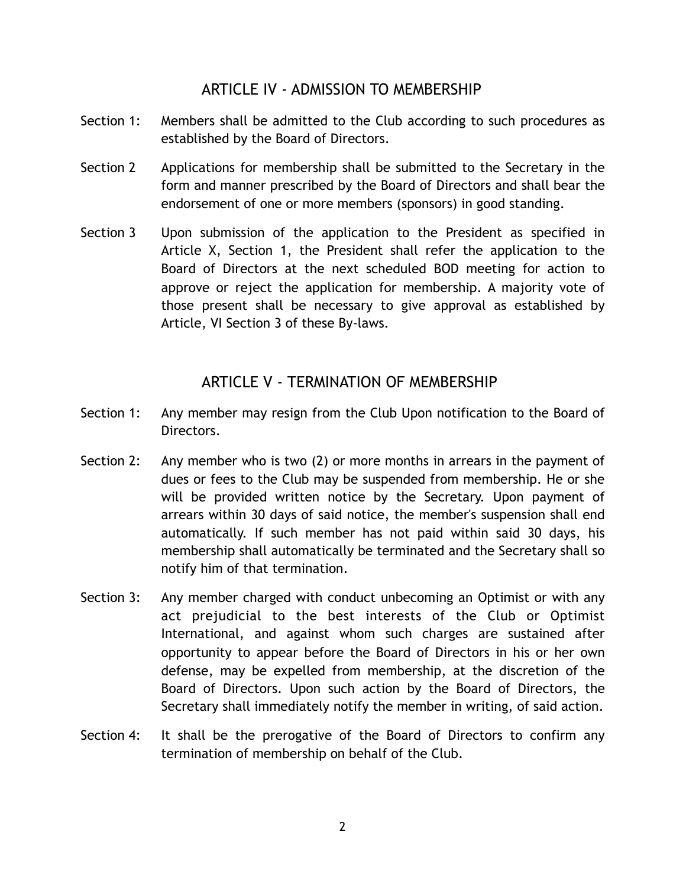#### ARTICLE IV - ADMISSION TO MEMBERSHIP

- Section 1: Members shall be admitted to the Club according to such procedures as established by the Board of Directors.
- Section 2 Applications for membership shall be submitted to the Secretary in the form and manner prescribed by the Board of Directors and shall bear the endorsement of one or more members (sponsors) in good standing.
- Section 3 Upon submission of the application to the President as specified in Article X, Section 1, the President shall refer the application to the Board of Directors at the next scheduled BOD meeting for action to approve or reject the application for membership. A majority vote of those present shall be necessary to give approval as established by Article, VI Section 3 of these By-laws.

#### ARTICLE V - TERMINATION OF MEMBERSHIP

- Section 1: Any member may resign from the Club Upon notification to the Board of Directors.
- Section 2: Any member who is two (2) or more months in arrears in the payment of dues or fees to the Club may be suspended from membership. He or she will be provided written notice by the Secretary. Upon payment of arrears within 30 days of said notice, the member's suspension shall end automatically. If such member has not paid within said 30 days, his membership shall automatically be terminated and the Secretary shall so notify him of that termination.
- Section 3: Any member charged with conduct unbecoming an Optimist or with any act prejudicial to the best interests of the Club or Optimist International, and against whom such charges are sustained after opportunity to appear before the Board of Directors in his or her own defense, may be expelled from membership, at the discretion of the Board of Directors. Upon such action by the Board of Directors, the Secretary shall immediately notify the member in writing, of said action.
- Section 4: It shall be the prerogative of the Board of Directors to confirm any termination of membership on behalf of the Club.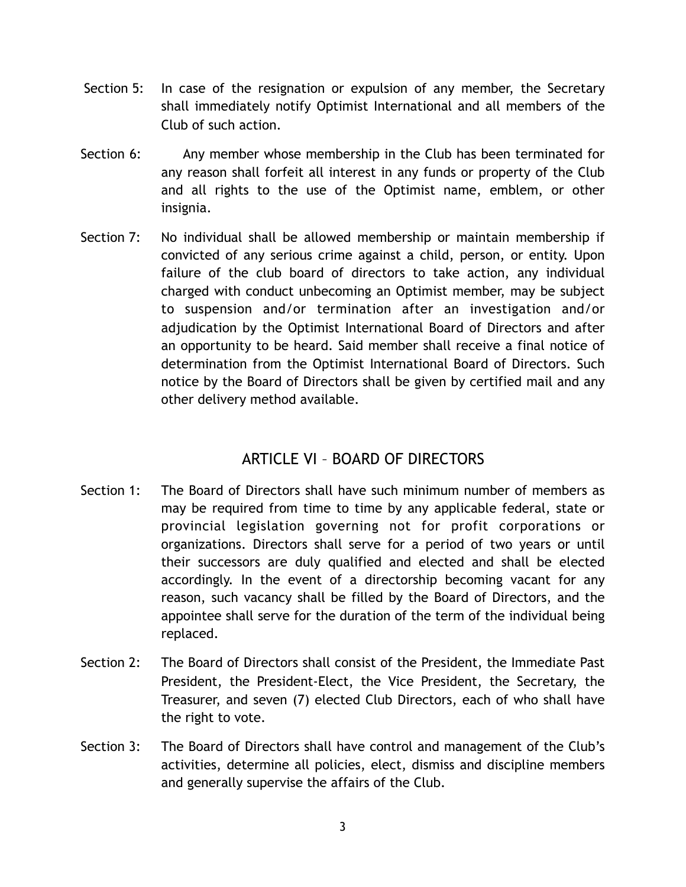- Section 5: In case of the resignation or expulsion of any member, the Secretary shall immediately notify Optimist International and all members of the Club of such action.
- Section 6: Any member whose membership in the Club has been terminated for any reason shall forfeit all interest in any funds or property of the Club and all rights to the use of the Optimist name, emblem, or other insignia.
- Section 7: No individual shall be allowed membership or maintain membership if convicted of any serious crime against a child, person, or entity. Upon failure of the club board of directors to take action, any individual charged with conduct unbecoming an Optimist member, may be subject to suspension and/or termination after an investigation and/or adjudication by the Optimist International Board of Directors and after an opportunity to be heard. Said member shall receive a final notice of determination from the Optimist International Board of Directors. Such notice by the Board of Directors shall be given by certified mail and any other delivery method available.

#### ARTICLE VI – BOARD OF DIRECTORS

- Section 1: The Board of Directors shall have such minimum number of members as may be required from time to time by any applicable federal, state or provincial legislation governing not for profit corporations or organizations. Directors shall serve for a period of two years or until their successors are duly qualified and elected and shall be elected accordingly. In the event of a directorship becoming vacant for any reason, such vacancy shall be filled by the Board of Directors, and the appointee shall serve for the duration of the term of the individual being replaced.
- Section 2: The Board of Directors shall consist of the President, the Immediate Past President, the President-Elect, the Vice President, the Secretary, the Treasurer, and seven (7) elected Club Directors, each of who shall have the right to vote.
- Section 3: The Board of Directors shall have control and management of the Club's activities, determine all policies, elect, dismiss and discipline members and generally supervise the affairs of the Club.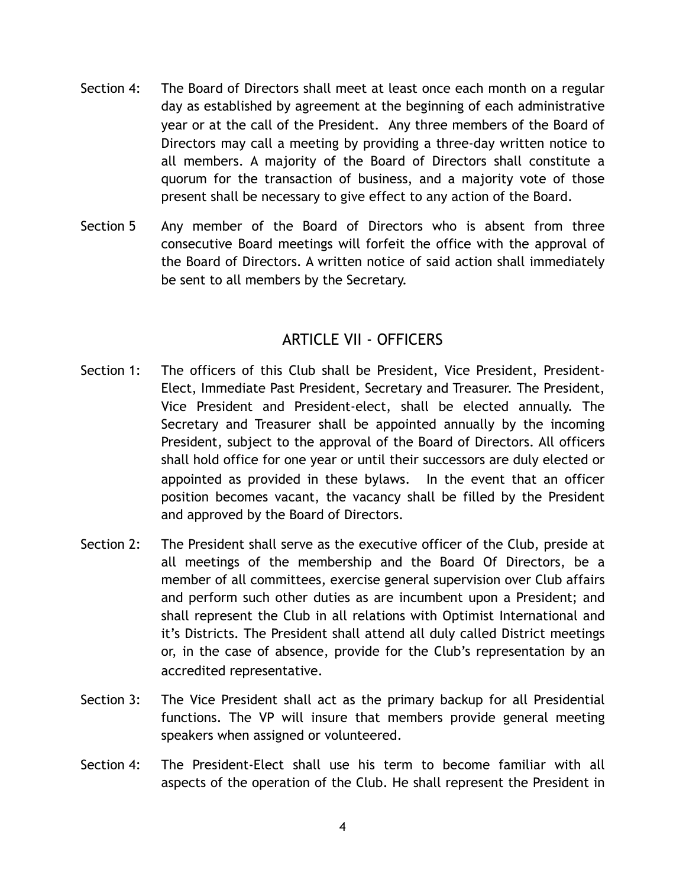- Section 4: The Board of Directors shall meet at least once each month on a regular day as established by agreement at the beginning of each administrative year or at the call of the President. Any three members of the Board of Directors may call a meeting by providing a three-day written notice to all members. A majority of the Board of Directors shall constitute a quorum for the transaction of business, and a majority vote of those present shall be necessary to give effect to any action of the Board.
- Section 5 Any member of the Board of Directors who is absent from three consecutive Board meetings will forfeit the office with the approval of the Board of Directors. A written notice of said action shall immediately be sent to all members by the Secretary.

#### ARTICLE VII - OFFICERS

- Section 1: The officers of this Club shall be President, Vice President, President-Elect, Immediate Past President, Secretary and Treasurer. The President, Vice President and President-elect, shall be elected annually. The Secretary and Treasurer shall be appointed annually by the incoming President, subject to the approval of the Board of Directors. All officers shall hold office for one year or until their successors are duly elected or appointed as provided in these bylaws. In the event that an officer position becomes vacant, the vacancy shall be filled by the President and approved by the Board of Directors.
- Section 2: The President shall serve as the executive officer of the Club, preside at all meetings of the membership and the Board Of Directors, be a member of all committees, exercise general supervision over Club affairs and perform such other duties as are incumbent upon a President; and shall represent the Club in all relations with Optimist International and it's Districts. The President shall attend all duly called District meetings or, in the case of absence, provide for the Club's representation by an accredited representative.
- Section 3: The Vice President shall act as the primary backup for all Presidential functions. The VP will insure that members provide general meeting speakers when assigned or volunteered.
- Section 4: The President-Elect shall use his term to become familiar with all aspects of the operation of the Club. He shall represent the President in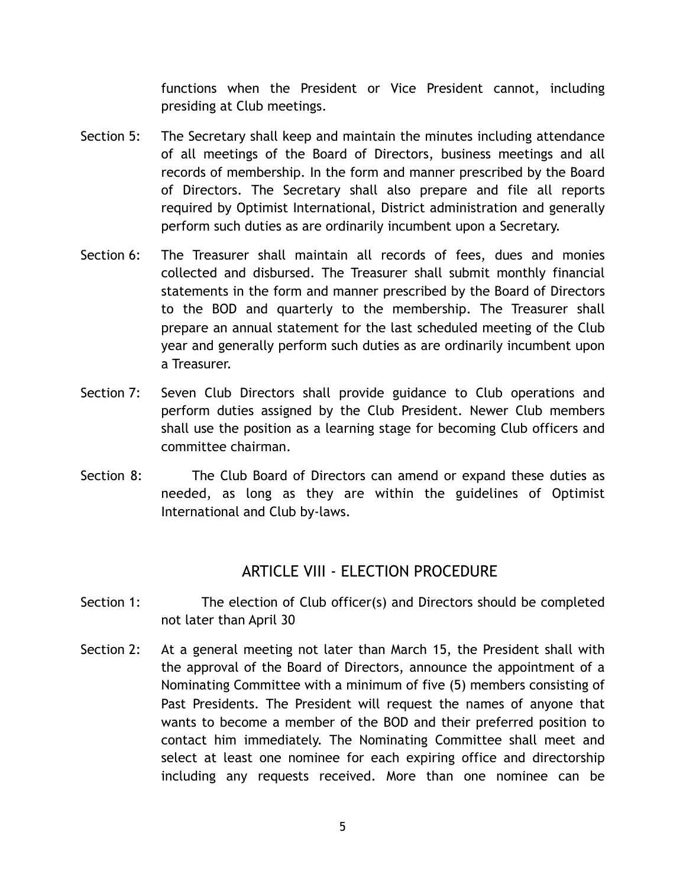functions when the President or Vice President cannot, including presiding at Club meetings.

- Section 5: The Secretary shall keep and maintain the minutes including attendance of all meetings of the Board of Directors, business meetings and all records of membership. In the form and manner prescribed by the Board of Directors. The Secretary shall also prepare and file all reports required by Optimist International, District administration and generally perform such duties as are ordinarily incumbent upon a Secretary.
- Section 6: The Treasurer shall maintain all records of fees, dues and monies collected and disbursed. The Treasurer shall submit monthly financial statements in the form and manner prescribed by the Board of Directors to the BOD and quarterly to the membership. The Treasurer shall prepare an annual statement for the last scheduled meeting of the Club year and generally perform such duties as are ordinarily incumbent upon a Treasurer.
- Section 7: Seven Club Directors shall provide guidance to Club operations and perform duties assigned by the Club President. Newer Club members shall use the position as a learning stage for becoming Club officers and committee chairman.
- Section 8: The Club Board of Directors can amend or expand these duties as needed, as long as they are within the guidelines of Optimist International and Club by-laws.

## ARTICLE VIII - ELECTION PROCEDURE

- Section 1: The election of Club officer(s) and Directors should be completed not later than April 30
- Section 2: At a general meeting not later than March 15, the President shall with the approval of the Board of Directors, announce the appointment of a Nominating Committee with a minimum of five (5) members consisting of Past Presidents. The President will request the names of anyone that wants to become a member of the BOD and their preferred position to contact him immediately. The Nominating Committee shall meet and select at least one nominee for each expiring office and directorship including any requests received. More than one nominee can be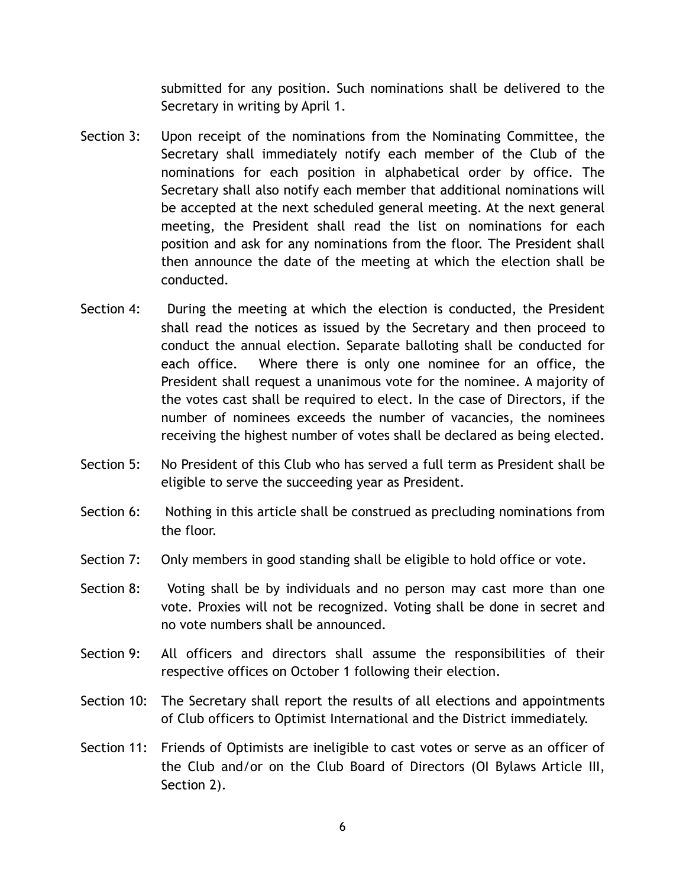submitted for any position. Such nominations shall be delivered to the Secretary in writing by April 1.

- Section 3: Upon receipt of the nominations from the Nominating Committee, the Secretary shall immediately notify each member of the Club of the nominations for each position in alphabetical order by office. The Secretary shall also notify each member that additional nominations will be accepted at the next scheduled general meeting. At the next general meeting, the President shall read the list on nominations for each position and ask for any nominations from the floor. The President shall then announce the date of the meeting at which the election shall be conducted.
- Section 4: During the meeting at which the election is conducted, the President shall read the notices as issued by the Secretary and then proceed to conduct the annual election. Separate balloting shall be conducted for each office. Where there is only one nominee for an office, the President shall request a unanimous vote for the nominee. A majority of the votes cast shall be required to elect. In the case of Directors, if the number of nominees exceeds the number of vacancies, the nominees receiving the highest number of votes shall be declared as being elected.
- Section 5: No President of this Club who has served a full term as President shall be eligible to serve the succeeding year as President.
- Section 6: Nothing in this article shall be construed as precluding nominations from the floor.
- Section 7: Only members in good standing shall be eligible to hold office or vote.
- Section 8: Voting shall be by individuals and no person may cast more than one vote. Proxies will not be recognized. Voting shall be done in secret and no vote numbers shall be announced.
- Section 9: All officers and directors shall assume the responsibilities of their respective offices on October 1 following their election.
- Section 10: The Secretary shall report the results of all elections and appointments of Club officers to Optimist International and the District immediately.
- Section 11: Friends of Optimists are ineligible to cast votes or serve as an officer of the Club and/or on the Club Board of Directors (OI Bylaws Article III, Section 2).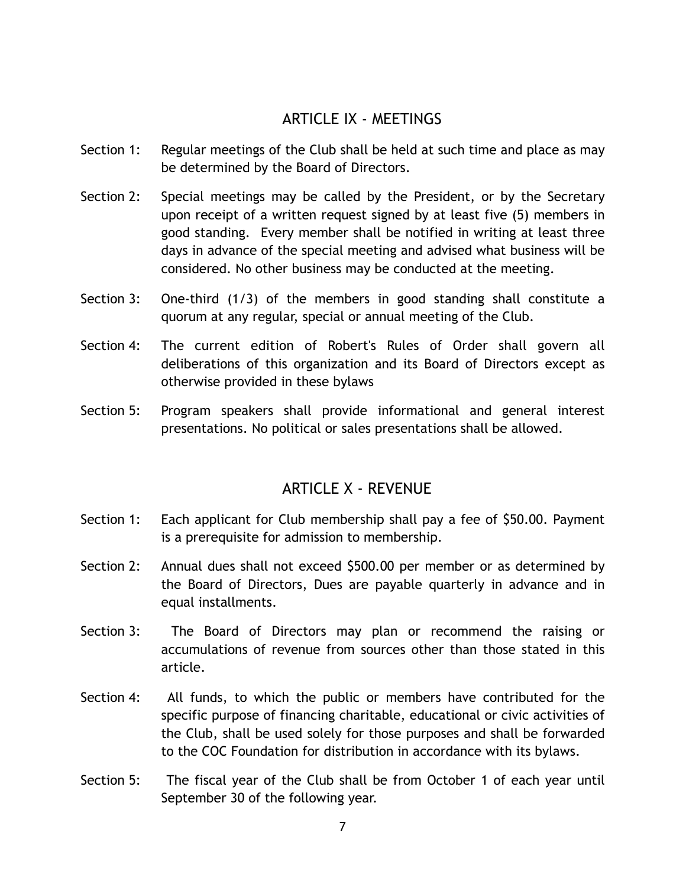#### ARTICLE IX - MEETINGS

- Section 1: Regular meetings of the Club shall be held at such time and place as may be determined by the Board of Directors.
- Section 2: Special meetings may be called by the President, or by the Secretary upon receipt of a written request signed by at least five (5) members in good standing. Every member shall be notified in writing at least three days in advance of the special meeting and advised what business will be considered. No other business may be conducted at the meeting.
- Section 3: One-third (1/3) of the members in good standing shall constitute a quorum at any regular, special or annual meeting of the Club.
- Section 4: The current edition of Robert's Rules of Order shall govern all deliberations of this organization and its Board of Directors except as otherwise provided in these bylaws
- Section 5: Program speakers shall provide informational and general interest presentations. No political or sales presentations shall be allowed.

## ARTICLE X - REVENUE

- Section 1: Each applicant for Club membership shall pay a fee of \$50.00. Payment is a prerequisite for admission to membership.
- Section 2: Annual dues shall not exceed \$500.00 per member or as determined by the Board of Directors, Dues are payable quarterly in advance and in equal installments.
- Section 3: The Board of Directors may plan or recommend the raising or accumulations of revenue from sources other than those stated in this article.
- Section 4: All funds, to which the public or members have contributed for the specific purpose of financing charitable, educational or civic activities of the Club, shall be used solely for those purposes and shall be forwarded to the COC Foundation for distribution in accordance with its bylaws.
- Section 5: The fiscal year of the Club shall be from October 1 of each year until September 30 of the following year.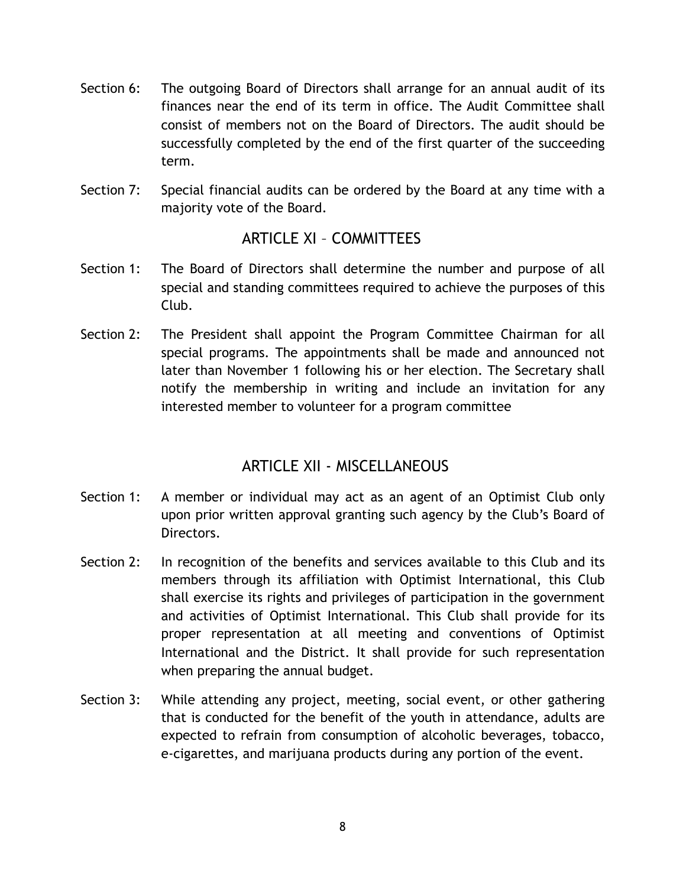- Section 6: The outgoing Board of Directors shall arrange for an annual audit of its finances near the end of its term in office. The Audit Committee shall consist of members not on the Board of Directors. The audit should be successfully completed by the end of the first quarter of the succeeding term.
- Section 7: Special financial audits can be ordered by the Board at any time with a majority vote of the Board.

#### ARTICLE XI – COMMITTEES

- Section 1: The Board of Directors shall determine the number and purpose of all special and standing committees required to achieve the purposes of this Club.
- Section 2: The President shall appoint the Program Committee Chairman for all special programs. The appointments shall be made and announced not later than November 1 following his or her election. The Secretary shall notify the membership in writing and include an invitation for any interested member to volunteer for a program committee

## ARTICLE XII - MISCELLANEOUS

- Section 1: A member or individual may act as an agent of an Optimist Club only upon prior written approval granting such agency by the Club's Board of Directors.
- Section 2: In recognition of the benefits and services available to this Club and its members through its affiliation with Optimist International, this Club shall exercise its rights and privileges of participation in the government and activities of Optimist International. This Club shall provide for its proper representation at all meeting and conventions of Optimist International and the District. It shall provide for such representation when preparing the annual budget.
- Section 3: While attending any project, meeting, social event, or other gathering that is conducted for the benefit of the youth in attendance, adults are expected to refrain from consumption of alcoholic beverages, tobacco, e-cigarettes, and marijuana products during any portion of the event.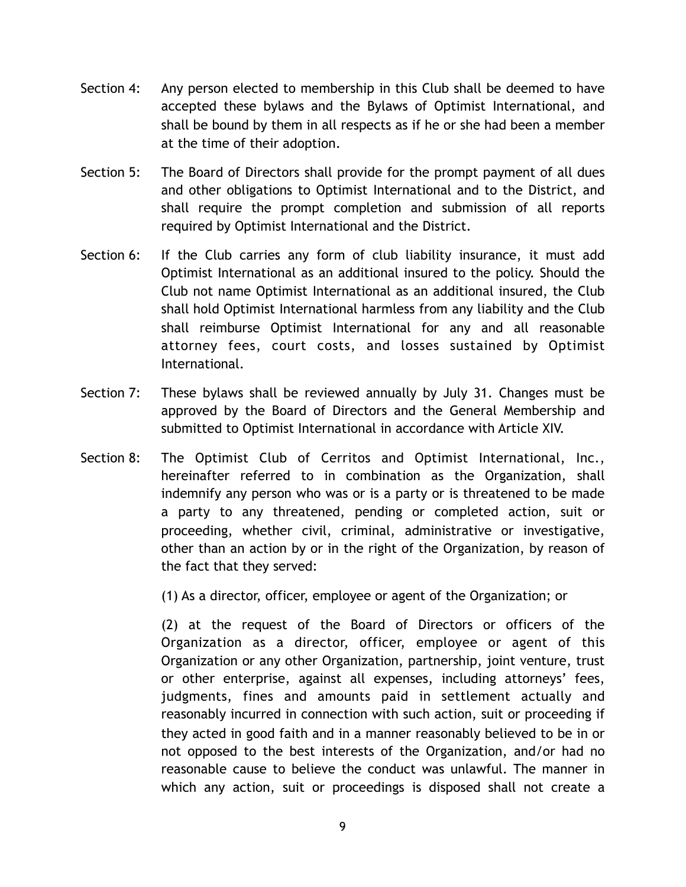- Section 4: Any person elected to membership in this Club shall be deemed to have accepted these bylaws and the Bylaws of Optimist International, and shall be bound by them in all respects as if he or she had been a member at the time of their adoption.
- Section 5: The Board of Directors shall provide for the prompt payment of all dues and other obligations to Optimist International and to the District, and shall require the prompt completion and submission of all reports required by Optimist International and the District.
- Section 6: If the Club carries any form of club liability insurance, it must add Optimist International as an additional insured to the policy. Should the Club not name Optimist International as an additional insured, the Club shall hold Optimist International harmless from any liability and the Club shall reimburse Optimist International for any and all reasonable attorney fees, court costs, and losses sustained by Optimist International.
- Section 7: These bylaws shall be reviewed annually by July 31. Changes must be approved by the Board of Directors and the General Membership and submitted to Optimist International in accordance with Article XIV.
- Section 8: The Optimist Club of Cerritos and Optimist International, Inc., hereinafter referred to in combination as the Organization, shall indemnify any person who was or is a party or is threatened to be made a party to any threatened, pending or completed action, suit or proceeding, whether civil, criminal, administrative or investigative, other than an action by or in the right of the Organization, by reason of the fact that they served:

(1) As a director, officer, employee or agent of the Organization; or

(2) at the request of the Board of Directors or officers of the Organization as a director, officer, employee or agent of this Organization or any other Organization, partnership, joint venture, trust or other enterprise, against all expenses, including attorneys' fees, judgments, fines and amounts paid in settlement actually and reasonably incurred in connection with such action, suit or proceeding if they acted in good faith and in a manner reasonably believed to be in or not opposed to the best interests of the Organization, and/or had no reasonable cause to believe the conduct was unlawful. The manner in which any action, suit or proceedings is disposed shall not create a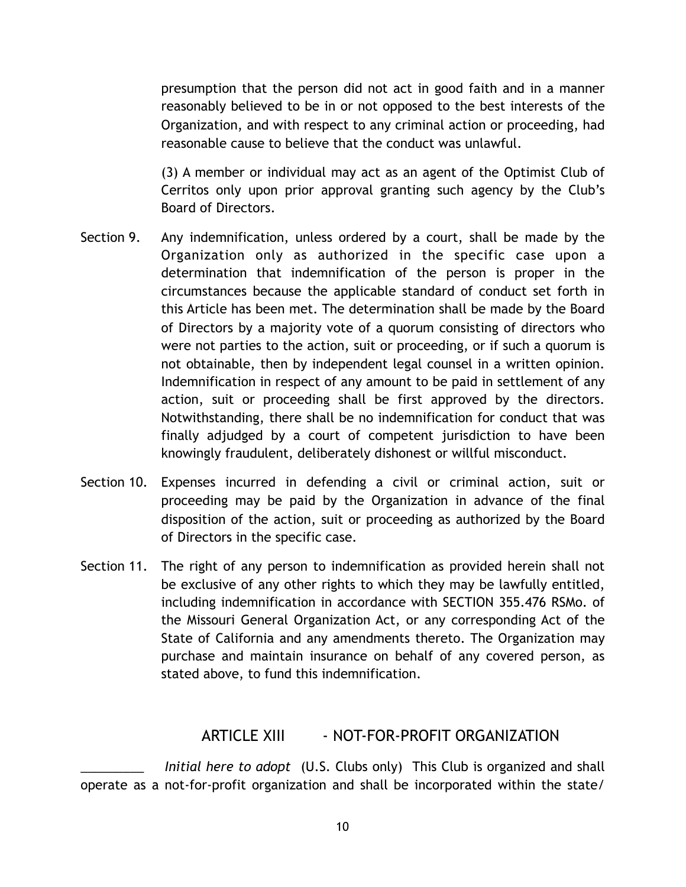presumption that the person did not act in good faith and in a manner reasonably believed to be in or not opposed to the best interests of the Organization, and with respect to any criminal action or proceeding, had reasonable cause to believe that the conduct was unlawful.

(3) A member or individual may act as an agent of the Optimist Club of Cerritos only upon prior approval granting such agency by the Club's Board of Directors.

- Section 9. Any indemnification, unless ordered by a court, shall be made by the Organization only as authorized in the specific case upon a determination that indemnification of the person is proper in the circumstances because the applicable standard of conduct set forth in this Article has been met. The determination shall be made by the Board of Directors by a majority vote of a quorum consisting of directors who were not parties to the action, suit or proceeding, or if such a quorum is not obtainable, then by independent legal counsel in a written opinion. Indemnification in respect of any amount to be paid in settlement of any action, suit or proceeding shall be first approved by the directors. Notwithstanding, there shall be no indemnification for conduct that was finally adjudged by a court of competent jurisdiction to have been knowingly fraudulent, deliberately dishonest or willful misconduct.
- Section 10. Expenses incurred in defending a civil or criminal action, suit or proceeding may be paid by the Organization in advance of the final disposition of the action, suit or proceeding as authorized by the Board of Directors in the specific case.
- Section 11. The right of any person to indemnification as provided herein shall not be exclusive of any other rights to which they may be lawfully entitled, including indemnification in accordance with SECTION 355.476 RSMo. of the Missouri General Organization Act, or any corresponding Act of the State of California and any amendments thereto. The Organization may purchase and maintain insurance on behalf of any covered person, as stated above, to fund this indemnification.

#### ARTICLE XIII - NOT-FOR-PROFIT ORGANIZATION

*Initial here to adopt* (U.S. Clubs only) This Club is organized and shall operate as a not-for-profit organization and shall be incorporated within the state/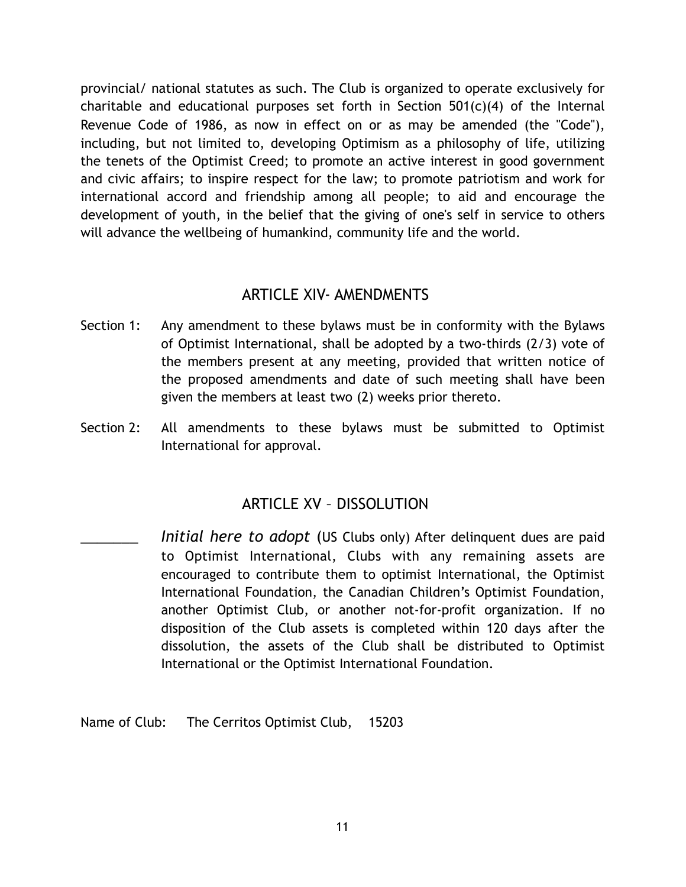provincial/ national statutes as such. The Club is organized to operate exclusively for charitable and educational purposes set forth in Section  $501(c)(4)$  of the Internal Revenue Code of 1986, as now in effect on or as may be amended (the "Code"), including, but not limited to, developing Optimism as a philosophy of life, utilizing the tenets of the Optimist Creed; to promote an active interest in good government and civic affairs; to inspire respect for the law; to promote patriotism and work for international accord and friendship among all people; to aid and encourage the development of youth, in the belief that the giving of one's self in service to others will advance the wellbeing of humankind, community life and the world.

#### ARTICLE XIV- AMENDMENTS

- Section 1: Any amendment to these bylaws must be in conformity with the Bylaws of Optimist International, shall be adopted by a two-thirds (2/3) vote of the members present at any meeting, provided that written notice of the proposed amendments and date of such meeting shall have been given the members at least two (2) weeks prior thereto.
- Section 2: All amendments to these bylaws must be submitted to Optimist International for approval.

## ARTICLE XV – DISSOLUTION

Initial here to adopt (US Clubs only) After delinquent dues are paid to Optimist International, Clubs with any remaining assets are encouraged to contribute them to optimist International, the Optimist International Foundation, the Canadian Children's Optimist Foundation, another Optimist Club, or another not-for-profit organization. If no disposition of the Club assets is completed within 120 days after the dissolution, the assets of the Club shall be distributed to Optimist International or the Optimist International Foundation.

Name of Club: The Cerritos Optimist Club, 15203